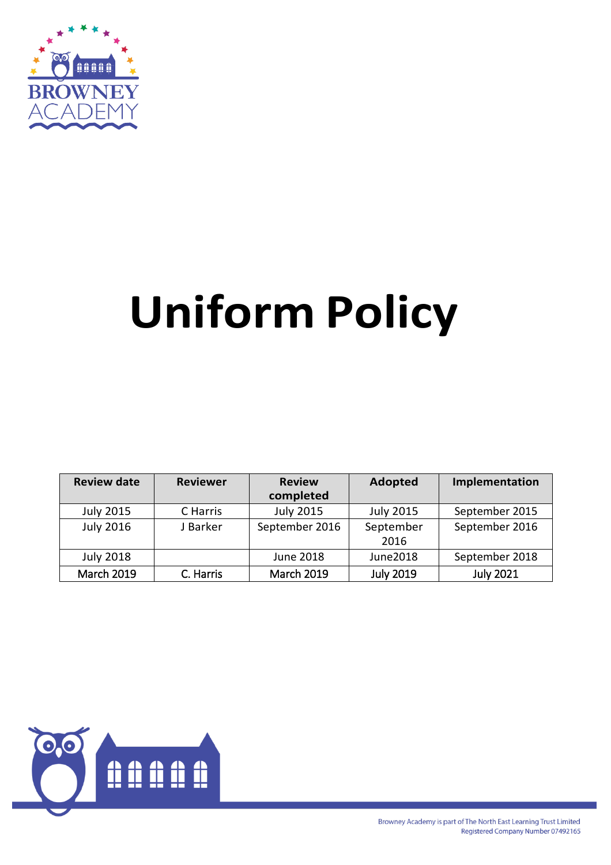

# **Uniform Policy**

| <b>Review date</b> | <b>Reviewer</b> | <b>Review</b><br>completed | <b>Adopted</b>    | Implementation   |
|--------------------|-----------------|----------------------------|-------------------|------------------|
| <b>July 2015</b>   | C Harris        | <b>July 2015</b>           | <b>July 2015</b>  | September 2015   |
| <b>July 2016</b>   | J Barker        | September 2016             | September<br>2016 | September 2016   |
| <b>July 2018</b>   |                 | June 2018                  | June2018          | September 2018   |
| <b>March 2019</b>  | C. Harris       | <b>March 2019</b>          | <b>July 2019</b>  | <b>July 2021</b> |

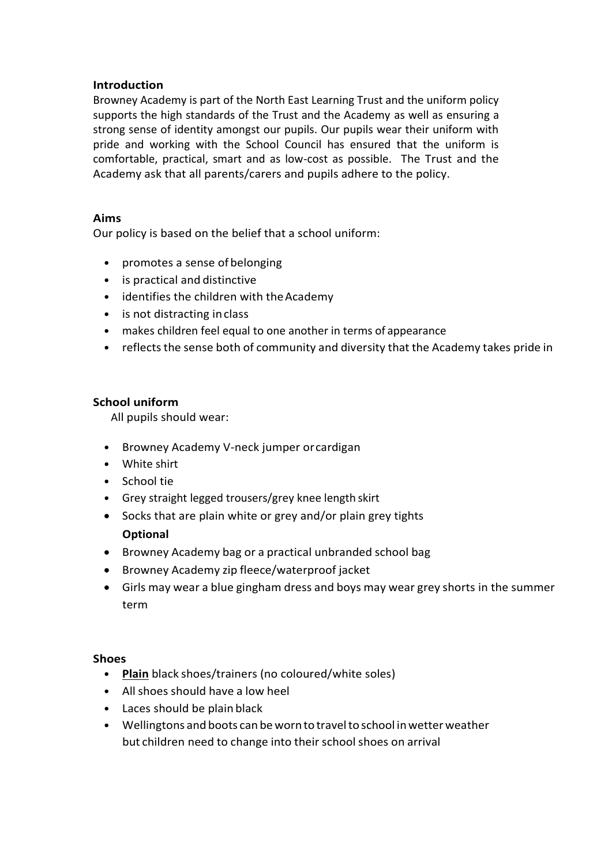#### **Introduction**

Browney Academy is part of the North East Learning Trust and the uniform policy supports the high standards of the Trust and the Academy as well as ensuring a strong sense of identity amongst our pupils. Our pupils wear their uniform with pride and working with the School Council has ensured that the uniform is comfortable, practical, smart and as low-cost as possible. The Trust and the Academy ask that all parents/carers and pupils adhere to the policy.

## **Aims**

Our policy is based on the belief that a school uniform:

- promotes a sense of belonging
- is practical and distinctive
- identifies the children with theAcademy
- is not distracting in class
- makes children feel equal to one another in terms of appearance
- reflects the sense both of community and diversity that the Academy takes pride in

## **School uniform**

All pupils should wear:

- Browney Academy V-neck jumper orcardigan
- White shirt
- School tie
- Grey straight legged trousers/grey knee length skirt
- Socks that are plain white or grey and/or plain grey tights **Optional**
- Browney Academy bag or a practical unbranded school bag
- Browney Academy zip fleece/waterproof jacket
- Girls may wear a blue gingham dress and boys may wear grey shorts in the summer term

#### **Shoes**

- **Plain** black shoes/trainers (no coloured/white soles)
- Allshoes should have a low heel
- Laces should be plain black
- Wellingtons and boots can be wornto travelto school inwetterweather but children need to change into their school shoes on arrival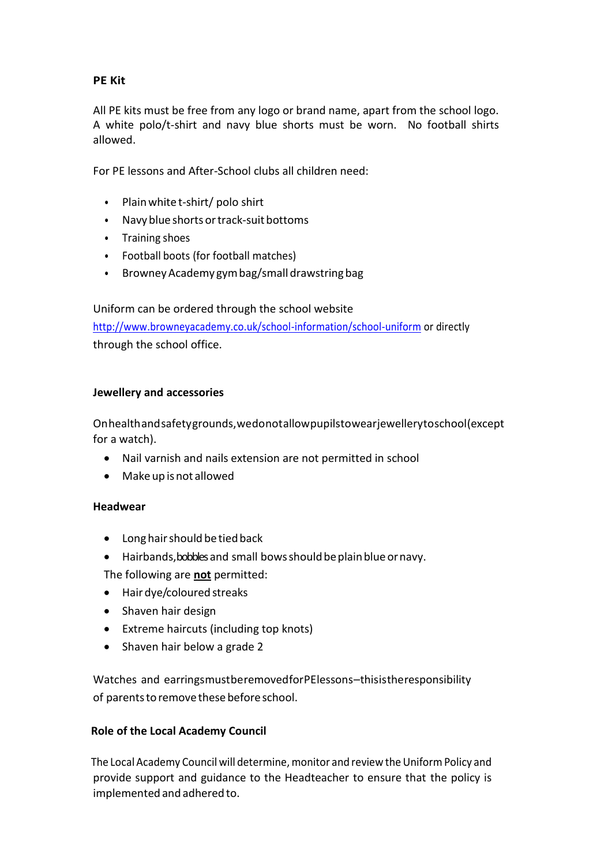# **PE Kit**

All PE kits must be free from any logo or brand name, apart from the school logo. A white polo/t-shirt and navy blue shorts must be worn. No football shirts allowed.

For PE lessons and After-School clubs all children need:

- Plainwhite t-shirt/ polo shirt
- Navy blue shorts or track-suit bottoms
- Training shoes
- Football boots (for football matches)
- Browney Academy gym bag/small drawstring bag

Uniform can be ordered through the school website <http://www.browneyacademy.co.uk/school-information/school-uniform> or directly through the school office.

#### **Jewellery and accessories**

Onhealthandsafetygrounds,wedonotallowpupilstowearjewellerytoschool(except for a watch).

- Nail varnish and nails extension are not permitted in school
- Make up isnot allowed

#### **Headwear**

- Long hair should be tied back
- Hairbands, bobbles and small bows should be plain blue or navy.

The following are **not** permitted:

- Hair dye/coloured streaks
- Shaven hair design
- Extreme haircuts (including top knots)
- Shaven hair below a grade 2

Watches and earringsmustberemovedforPElessons–thisistheresponsibility of parents to remove these before school.

#### **Role of the Local Academy Council**

The Local Academy Council will determine, monitor and review the Uniform Policy and provide support and guidance to the Headteacher to ensure that the policy is implemented and adhered to.